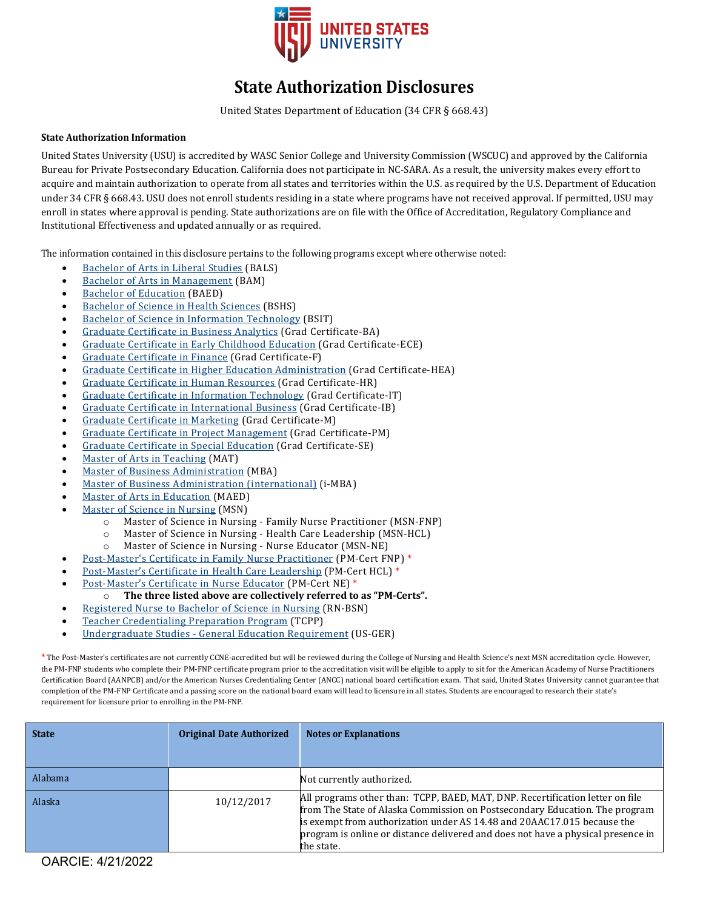

# **State Authorization Disclosures**

United States Department of Education (34 CFR § 668.43)

### **State Authorization Information**

United States University (USU) is accredited by WASC Senior College and University Commission (WSCUC) and approved by the California Bureau for Private Postsecondary Education. California does not participate in NC-SARA. As a result, the university makes every effort to acquire and maintain authorization to operate from all states and territories within the U.S. as required by the U.S. Department of Education under 34 CFR § 668.43. USU does not enroll students residing in a state where programs have not received approval. If permitted, USU may enroll in states where approval is pending. State authorizations are on file with the Office of Accreditation, Regulatory Compliance and Institutional Effectiveness and updated annually or as required.

The information contained in this disclosure pertains to the following programs except where otherwise noted:

- **[Bachelor of Arts in Liberal Studies](https://usuniversity.smartcatalogiq.com/en/2021-2022/General-Catalog/College-of-Education/Bachelor-of-Arts-in-Liberal-Studies) (BALS)**
- [Bachelor of Arts in Management](https://usuniversity.smartcatalogiq.com/en/2021-2022/General-Catalog/College-of-Business-and-Technology/Bachelor-of-Arts-in-Management) (BAM)
- **[Bachelor of Education](https://usuniversity.smartcatalogiq.com/en/2021-2022/General-Catalog/College-of-Education/Bachelor-of-Education) (BAED)**
- [Bachelor of Science in Health Sciences](https://usuniversity.smartcatalogiq.com/en/2021-2022/General-Catalog/College-of-Nursing-and-Health-Sciences/Bachelor-of-Science-in-Health-Sciences) (BSHS)
- [Bachelor of Science in Information Technology](https://usuniversity.smartcatalogiq.com/en/2021-2022/General-Catalog/College-of-Business-and-Technology/Bachelor-of-Science-in-Information-Technology) (BSIT)
- [Graduate Certificate in Business Analytics](https://usuniversity.smartcatalogiq.com/en/2021-2022/General-Catalog/College-of-Business-and-Technology/Graduate-Certificate-in-Business-Analytics) (Grad Certificate-BA)
- [Graduate Certificate in Early Childhood Education](https://usuniversity.smartcatalogiq.com/en/2021-2022/General-Catalog/College-of-Education/Graduate-Certificate-in-Early-Childhood-Education) (Grad Certificate-ECE)
- [Graduate Certificate in Finance](https://usuniversity.smartcatalogiq.com/en/2021-2022/General-Catalog/College-of-Business-and-Technology/Graduate-Certificate-in-Finance) (Grad Certificate-F)
- [Graduate Certificate in Higher Education Administration](https://usuniversity.smartcatalogiq.com/en/2021-2022/General-Catalog/College-of-Education/Graduate-Certificate-in-Higher-Education-Administration) (Grad Certificate-HEA)
- [Graduate Certificate in Human Resources](https://usuniversity.smartcatalogiq.com/en/2021-2022/General-Catalog/College-of-Business-and-Technology/Graduate-Certificate-in-Human-Resources) (Grad Certificate-HR)
- [Graduate Certificate in Information Technology](https://usuniversity.smartcatalogiq.com/en/2021-2022/General-Catalog/College-of-Business-and-Technology/Graduate-Certificate-in-Information-Technology) (Grad Certificate-IT)
- [Graduate Certificate in International Business](https://usuniversity.smartcatalogiq.com/en/2021-2022/General-Catalog/College-of-Business-and-Technology/Graduate-Certificate-in-International-Business) (Grad Certificate-IB)
- [Graduate Certificate in Marketing](https://usuniversity.smartcatalogiq.com/en/2021-2022/General-Catalog/College-of-Business-and-Technology/Graduate-Certificate-in-Marketing) (Grad Certificate-M)
- [Graduate Certificate in Project Management](https://usuniversity.smartcatalogiq.com/en/2021-2022/General-Catalog/College-of-Business-and-Technology/Graduate-Certificate-in-Project-Management) (Grad Certificate-PM)
- [Graduate Certificate in Special Education](https://usuniversity.smartcatalogiq.com/en/2021-2022/General-Catalog/College-of-Education/Graduate-Certificate-in-Special-Education) (Grad Certificate-SE)
- [Master of Arts in Teaching](https://usuniversity.smartcatalogiq.com/en/2021-2022/General-Catalog/College-of-Education/Master-of-Arts-in-Teaching) (MAT)
- [Master of Business Administration](https://usuniversity.smartcatalogiq.com/en/2021-2022/General-Catalog/College-of-Business-and-Technology/Master-of-Business-Administration) (MBA)
- [Master of Business Administration \(international\)](https://usuniversity.smartcatalogiq.com/en/2021-2022/General-Catalog/College-of-Business-and-Technology/Master-of-Business-Administration-i) (i-MBA)
- [Master of Arts in Education](https://usuniversity.smartcatalogiq.com/en/2021-2022/General-Catalog/College-of-Education/Master-of-Education) (MAED)
- [Master of Science in Nursing](https://usuniversity.smartcatalogiq.com/en/2021-2022/General-Catalog/College-of-Nursing-and-Health-Sciences/Master-of-Science-in-Nursing) (MSN)<br>  $\circ$  Master of Science in Nursin
	- o Master of Science in Nursing Family Nurse Practitioner (MSN-FNP)
	- Master of Science in Nursing Health Care Leadership (MSN-HCL)
	- o Master of Science in Nursing Nurse Educator (MSN-NE)
- Post-Master['s Certificate in Family Nurse Practitioner](https://usuniversity.smartcatalogiq.com/en/2021-2022/General-Catalog/College-of-Nursing-and-Health-Sciences/PostMasters-Certificate-in-Family-Nurse-Practitioner) (PM-Cert FNP) \*
- [Post-Master's Certificate in Health Care Leadership](https://usuniversity.smartcatalogiq.com/en/2021-2022/General-Catalog/College-of-Nursing-and-Health-Sciences/Post-Masters-Certificate-in-Health-Care-Leadership) (PM-Cert HCL) \*
- [Post-Master's Certificate in Nurse Educator \(](https://usuniversity.smartcatalogiq.com/en/2021-2022/General-Catalog/College-of-Nursing-and-Health-Sciences/Post-Masters-Certificate-in-Nurse-Educator)PM-Cert NE) \*
	- o **The three listed above are collectively referred to as "PM-Certs".**
- [Registered Nurse to Bachelor of Science in Nursing](https://usuniversity.smartcatalogiq.com/en/2021-2022/General-Catalog/College-of-Nursing-and-Health-Sciences/Registered-Nurse-to-Bachelor-of-Science-in-Nursing) (RN-BSN)
- [Teacher Credentialing Preparation Program](https://usuniversity.smartcatalogiq.com/en/2021-2022/General-Catalog/College-of-Education/Teacher-Credentialing-Preparation-Program) (TCPP)
- [Undergraduate Studies General Education Requirement](https://usuniversity.smartcatalogiq.com/en/2021-2022/General-Catalog/Undergraduate-Studies-General-Education/Undergraduate-Studies-General-Education-Requirement) (US-GER)

\* The Post-Master's certificates are not currently CCNE-accredited but will be reviewed during the College of Nursing and Health Science's next MSN accreditation cycle. However, the PM-FNP students who complete their PM-FNP certificate program prior to the accreditation visit will be eligible to apply to sit for the American Academy of Nurse Practitioners Certification Board (AANPCB) and/or the American Nurses Credentialing Center (ANCC) national board certification exam. That said, United States University cannot guarantee that completion of the PM-FNP Certificate and a passing score on the national board exam will lead to licensure in all states. Students are encouraged to research their state's requirement for licensure prior to enrolling in the PM-FNP.

| <b>State</b> | <b>Original Date Authorized</b> | <b>Notes or Explanations</b>                                                                                                                                                                                                                                                                                                              |
|--------------|---------------------------------|-------------------------------------------------------------------------------------------------------------------------------------------------------------------------------------------------------------------------------------------------------------------------------------------------------------------------------------------|
| Alabama      |                                 | Not currently authorized.                                                                                                                                                                                                                                                                                                                 |
| Alaska       | 10/12/2017                      | All programs other than: TCPP, BAED, MAT, DNP. Recertification letter on file<br>from The State of Alaska Commission on Postsecondary Education. The program<br>is exempt from authorization under AS 14.48 and 20AAC17.015 because the<br>program is online or distance delivered and does not have a physical presence in<br>the state. |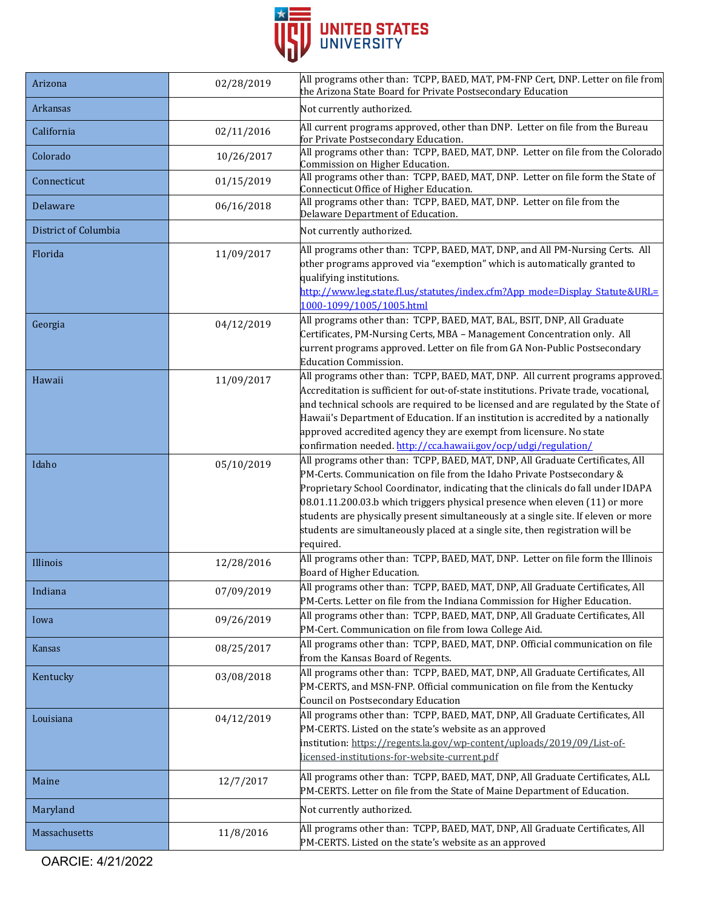

| Arizona              | 02/28/2019 | All programs other than: TCPP, BAED, MAT, PM-FNP Cert, DNP. Letter on file from<br>the Arizona State Board for Private Postsecondary Education                                                                                                                                                                                                                                                                                                                                                                       |
|----------------------|------------|----------------------------------------------------------------------------------------------------------------------------------------------------------------------------------------------------------------------------------------------------------------------------------------------------------------------------------------------------------------------------------------------------------------------------------------------------------------------------------------------------------------------|
| Arkansas             |            | Not currently authorized.                                                                                                                                                                                                                                                                                                                                                                                                                                                                                            |
| California           | 02/11/2016 | All current programs approved, other than DNP. Letter on file from the Bureau<br>for Private Postsecondary Education.                                                                                                                                                                                                                                                                                                                                                                                                |
| Colorado             | 10/26/2017 | All programs other than: TCPP, BAED, MAT, DNP. Letter on file from the Colorado<br>Commission on Higher Education.                                                                                                                                                                                                                                                                                                                                                                                                   |
| Connecticut          | 01/15/2019 | All programs other than: TCPP, BAED, MAT, DNP. Letter on file form the State of<br>Connecticut Office of Higher Education.                                                                                                                                                                                                                                                                                                                                                                                           |
| Delaware             | 06/16/2018 | All programs other than: TCPP, BAED, MAT, DNP. Letter on file from the<br>Delaware Department of Education.                                                                                                                                                                                                                                                                                                                                                                                                          |
| District of Columbia |            | Not currently authorized.                                                                                                                                                                                                                                                                                                                                                                                                                                                                                            |
| Florida              | 11/09/2017 | All programs other than: TCPP, BAED, MAT, DNP, and All PM-Nursing Certs. All<br>other programs approved via "exemption" which is automatically granted to<br>qualifying institutions.<br>http://www.leg.state.fl.us/statutes/index.cfm?App_mode=Display_Statute&URL=<br>1000-1099/1005/1005.html                                                                                                                                                                                                                     |
| Georgia              | 04/12/2019 | All programs other than: TCPP, BAED, MAT, BAL, BSIT, DNP, All Graduate<br>Certificates, PM-Nursing Certs, MBA - Management Concentration only. All<br>current programs approved. Letter on file from GA Non-Public Postsecondary<br><b>Education Commission.</b>                                                                                                                                                                                                                                                     |
| Hawaii               | 11/09/2017 | All programs other than: TCPP, BAED, MAT, DNP. All current programs approved.<br>Accreditation is sufficient for out-of-state institutions. Private trade, vocational,<br>and technical schools are required to be licensed and are regulated by the State of<br>Hawaii's Department of Education. If an institution is accredited by a nationally<br>approved accredited agency they are exempt from licensure. No state<br>confirmation needed. http://cca.hawaii.gov/ocp/udgi/regulation/                         |
| Idaho                | 05/10/2019 | All programs other than: TCPP, BAED, MAT, DNP, All Graduate Certificates, All<br>PM-Certs. Communication on file from the Idaho Private Postsecondary &<br>Proprietary School Coordinator, indicating that the clinicals do fall under IDAPA<br>$08.01.11.200.03$ b which triggers physical presence when eleven $(11)$ or more<br>students are physically present simultaneously at a single site. If eleven or more<br>students are simultaneously placed at a single site, then registration will be<br>required. |
| Illinois             | 12/28/2016 | All programs other than: TCPP, BAED, MAT, DNP. Letter on file form the Illinois<br>Board of Higher Education.                                                                                                                                                                                                                                                                                                                                                                                                        |
| Indiana              | 07/09/2019 | All programs other than: TCPP, BAED, MAT, DNP, All Graduate Certificates, All<br>PM-Certs. Letter on file from the Indiana Commission for Higher Education.                                                                                                                                                                                                                                                                                                                                                          |
| Iowa                 | 09/26/2019 | All programs other than: TCPP, BAED, MAT, DNP, All Graduate Certificates, All<br>PM-Cert. Communication on file from Iowa College Aid.                                                                                                                                                                                                                                                                                                                                                                               |
| Kansas               | 08/25/2017 | All programs other than: TCPP, BAED, MAT, DNP. Official communication on file<br>from the Kansas Board of Regents.                                                                                                                                                                                                                                                                                                                                                                                                   |
| Kentucky             | 03/08/2018 | All programs other than: TCPP, BAED, MAT, DNP, All Graduate Certificates, All<br>PM-CERTS, and MSN-FNP. Official communication on file from the Kentucky<br>Council on Postsecondary Education                                                                                                                                                                                                                                                                                                                       |
| Louisiana            | 04/12/2019 | All programs other than: TCPP, BAED, MAT, DNP, All Graduate Certificates, All<br>PM-CERTS. Listed on the state's website as an approved<br>institution: https://regents.la.gov/wp-content/uploads/2019/09/List-of-<br>licensed-institutions-for-website-current.pdf                                                                                                                                                                                                                                                  |
| Maine                | 12/7/2017  | All programs other than: TCPP, BAED, MAT, DNP, All Graduate Certificates, ALL<br>PM-CERTS. Letter on file from the State of Maine Department of Education.                                                                                                                                                                                                                                                                                                                                                           |
| Maryland             |            | Not currently authorized.                                                                                                                                                                                                                                                                                                                                                                                                                                                                                            |
| Massachusetts        | 11/8/2016  | All programs other than: TCPP, BAED, MAT, DNP, All Graduate Certificates, All<br>PM-CERTS. Listed on the state's website as an approved                                                                                                                                                                                                                                                                                                                                                                              |

OARCIE: 4/21/2022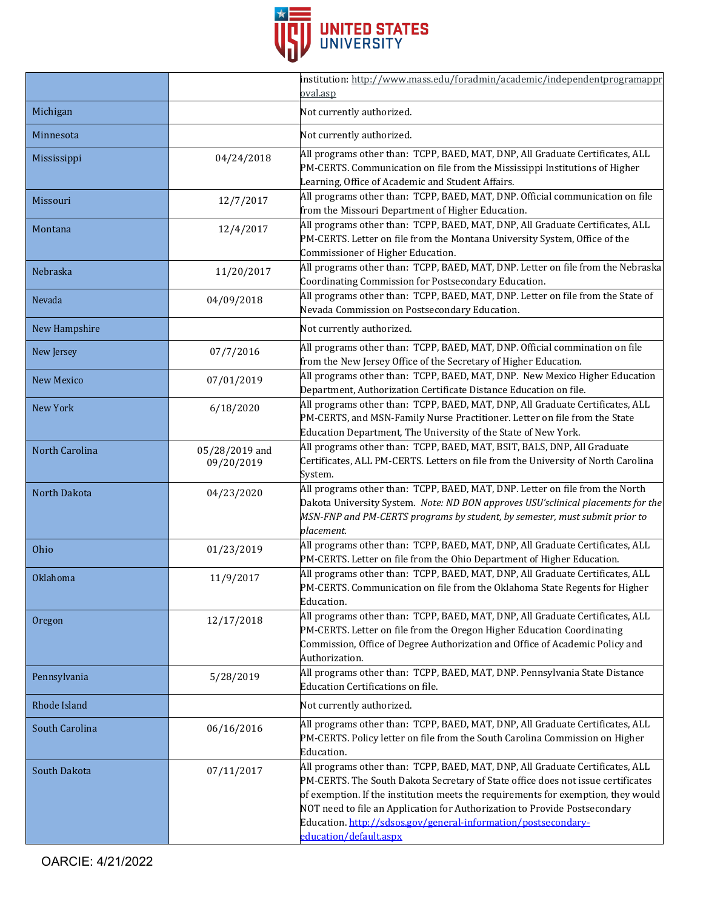

|                   |                              | institution: http://www.mass.edu/foradmin/academic/independentprogramappr                                                                                                                                                                                                                                                                                                                                                        |
|-------------------|------------------------------|----------------------------------------------------------------------------------------------------------------------------------------------------------------------------------------------------------------------------------------------------------------------------------------------------------------------------------------------------------------------------------------------------------------------------------|
|                   |                              | oval.asp                                                                                                                                                                                                                                                                                                                                                                                                                         |
| Michigan          |                              | Not currently authorized.                                                                                                                                                                                                                                                                                                                                                                                                        |
| Minnesota         |                              | Not currently authorized.                                                                                                                                                                                                                                                                                                                                                                                                        |
| Mississippi       | 04/24/2018                   | All programs other than: TCPP, BAED, MAT, DNP, All Graduate Certificates, ALL<br>PM-CERTS. Communication on file from the Mississippi Institutions of Higher<br>Learning, Office of Academic and Student Affairs.                                                                                                                                                                                                                |
| Missouri          | 12/7/2017                    | All programs other than: TCPP, BAED, MAT, DNP. Official communication on file<br>from the Missouri Department of Higher Education.                                                                                                                                                                                                                                                                                               |
| Montana           | 12/4/2017                    | All programs other than: TCPP, BAED, MAT, DNP, All Graduate Certificates, ALL<br>PM-CERTS. Letter on file from the Montana University System, Office of the<br>Commissioner of Higher Education.                                                                                                                                                                                                                                 |
| Nebraska          | 11/20/2017                   | All programs other than: TCPP, BAED, MAT, DNP. Letter on file from the Nebraska<br>Coordinating Commission for Postsecondary Education.                                                                                                                                                                                                                                                                                          |
| Nevada            | 04/09/2018                   | All programs other than: TCPP, BAED, MAT, DNP. Letter on file from the State of<br>Nevada Commission on Postsecondary Education.                                                                                                                                                                                                                                                                                                 |
| New Hampshire     |                              | Not currently authorized.                                                                                                                                                                                                                                                                                                                                                                                                        |
| New Jersey        | 07/7/2016                    | All programs other than: TCPP, BAED, MAT, DNP. Official commination on file<br>from the New Jersey Office of the Secretary of Higher Education.                                                                                                                                                                                                                                                                                  |
| <b>New Mexico</b> | 07/01/2019                   | All programs other than: TCPP, BAED, MAT, DNP. New Mexico Higher Education<br>Department, Authorization Certificate Distance Education on file.                                                                                                                                                                                                                                                                                  |
| New York          | 6/18/2020                    | All programs other than: TCPP, BAED, MAT, DNP, All Graduate Certificates, ALL<br>PM-CERTS, and MSN-Family Nurse Practitioner. Letter on file from the State<br>Education Department, The University of the State of New York.                                                                                                                                                                                                    |
| North Carolina    | 05/28/2019 and<br>09/20/2019 | All programs other than: TCPP, BAED, MAT, BSIT, BALS, DNP, All Graduate<br>Certificates, ALL PM-CERTS. Letters on file from the University of North Carolina<br>System.                                                                                                                                                                                                                                                          |
| North Dakota      | 04/23/2020                   | All programs other than: TCPP, BAED, MAT, DNP. Letter on file from the North<br>Dakota University System. Note: ND BON approves USU'sclinical placements for the<br>MSN-FNP and PM-CERTS programs by student, by semester, must submit prior to<br>placement.                                                                                                                                                                    |
| Ohio              | 01/23/2019                   | All programs other than: TCPP, BAED, MAT, DNP, All Graduate Certificates, ALL<br>PM-CERTS. Letter on file from the Ohio Department of Higher Education.                                                                                                                                                                                                                                                                          |
| Oklahoma          | 11/9/2017                    | All programs other than: TCPP, BAED, MAT, DNP, All Graduate Certificates, ALL<br>PM-CERTS. Communication on file from the Oklahoma State Regents for Higher<br>Education.                                                                                                                                                                                                                                                        |
| Oregon            | 12/17/2018                   | All programs other than: TCPP, BAED, MAT, DNP, All Graduate Certificates, ALL<br>PM-CERTS. Letter on file from the Oregon Higher Education Coordinating<br>Commission, Office of Degree Authorization and Office of Academic Policy and<br>Authorization.                                                                                                                                                                        |
| Pennsylvania      | 5/28/2019                    | All programs other than: TCPP, BAED, MAT, DNP. Pennsylvania State Distance<br><b>Education Certifications on file.</b>                                                                                                                                                                                                                                                                                                           |
| Rhode Island      |                              | Not currently authorized.                                                                                                                                                                                                                                                                                                                                                                                                        |
| South Carolina    | 06/16/2016                   | All programs other than: TCPP, BAED, MAT, DNP, All Graduate Certificates, ALL<br>PM-CERTS. Policy letter on file from the South Carolina Commission on Higher<br>Education.                                                                                                                                                                                                                                                      |
| South Dakota      | 07/11/2017                   | All programs other than: TCPP, BAED, MAT, DNP, All Graduate Certificates, ALL<br>PM-CERTS. The South Dakota Secretary of State office does not issue certificates<br>of exemption. If the institution meets the requirements for exemption, they would<br>NOT need to file an Application for Authorization to Provide Postsecondary<br>Education. http://sdsos.gov/general-information/postsecondary-<br>education/default.aspx |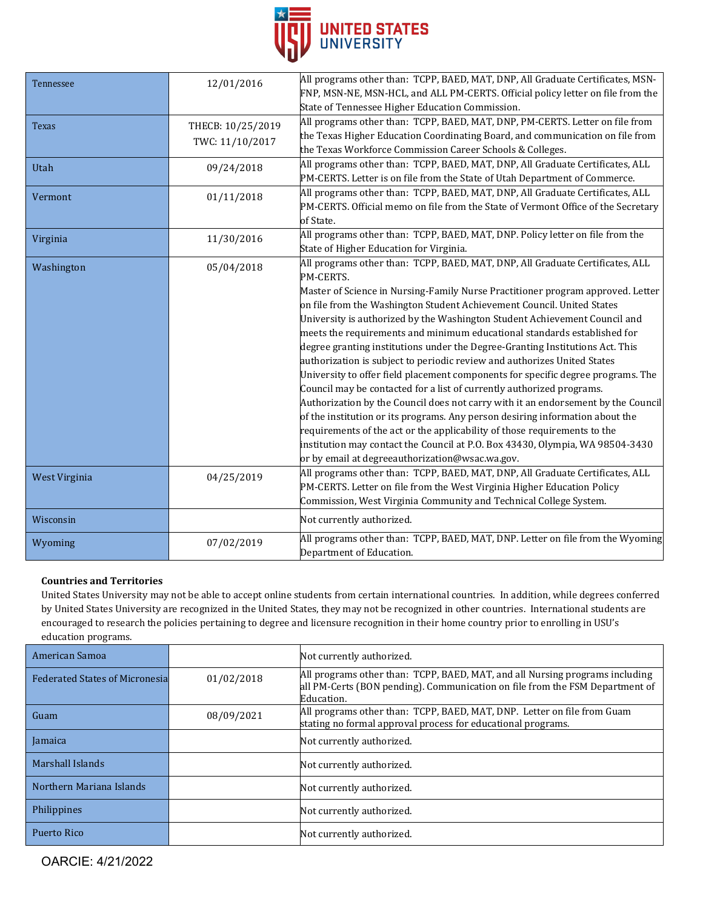

| Tennessee     | 12/01/2016                           | All programs other than: TCPP, BAED, MAT, DNP, All Graduate Certificates, MSN-<br>FNP, MSN-NE, MSN-HCL, and ALL PM-CERTS. Official policy letter on file from the<br>State of Tennessee Higher Education Commission.                                                                                                                                                                                                                                                                                                                                                                                                                                                                                                                                                                                                                                                                                                                                                                                                                                                                                                               |
|---------------|--------------------------------------|------------------------------------------------------------------------------------------------------------------------------------------------------------------------------------------------------------------------------------------------------------------------------------------------------------------------------------------------------------------------------------------------------------------------------------------------------------------------------------------------------------------------------------------------------------------------------------------------------------------------------------------------------------------------------------------------------------------------------------------------------------------------------------------------------------------------------------------------------------------------------------------------------------------------------------------------------------------------------------------------------------------------------------------------------------------------------------------------------------------------------------|
| <b>Texas</b>  | THECB: 10/25/2019<br>TWC: 11/10/2017 | All programs other than: TCPP, BAED, MAT, DNP, PM-CERTS. Letter on file from<br>the Texas Higher Education Coordinating Board, and communication on file from<br>the Texas Workforce Commission Career Schools & Colleges.                                                                                                                                                                                                                                                                                                                                                                                                                                                                                                                                                                                                                                                                                                                                                                                                                                                                                                         |
| Utah          | 09/24/2018                           | All programs other than: TCPP, BAED, MAT, DNP, All Graduate Certificates, ALL<br>PM-CERTS. Letter is on file from the State of Utah Department of Commerce.                                                                                                                                                                                                                                                                                                                                                                                                                                                                                                                                                                                                                                                                                                                                                                                                                                                                                                                                                                        |
| Vermont       | 01/11/2018                           | All programs other than: TCPP, BAED, MAT, DNP, All Graduate Certificates, ALL<br>PM-CERTS. Official memo on file from the State of Vermont Office of the Secretary<br>of State.                                                                                                                                                                                                                                                                                                                                                                                                                                                                                                                                                                                                                                                                                                                                                                                                                                                                                                                                                    |
| Virginia      | 11/30/2016                           | All programs other than: TCPP, BAED, MAT, DNP. Policy letter on file from the<br>State of Higher Education for Virginia.                                                                                                                                                                                                                                                                                                                                                                                                                                                                                                                                                                                                                                                                                                                                                                                                                                                                                                                                                                                                           |
| Washington    | 05/04/2018                           | All programs other than: TCPP, BAED, MAT, DNP, All Graduate Certificates, ALL<br>PM-CERTS.<br>Master of Science in Nursing-Family Nurse Practitioner program approved. Letter<br>on file from the Washington Student Achievement Council. United States<br>University is authorized by the Washington Student Achievement Council and<br>meets the requirements and minimum educational standards established for<br>degree granting institutions under the Degree-Granting Institutions Act. This<br>authorization is subject to periodic review and authorizes United States<br>University to offer field placement components for specific degree programs. The<br>Council may be contacted for a list of currently authorized programs.<br>Authorization by the Council does not carry with it an endorsement by the Council<br>of the institution or its programs. Any person desiring information about the<br>requirements of the act or the applicability of those requirements to the<br>institution may contact the Council at P.O. Box 43430, Olympia, WA 98504-3430<br>or by email at degreeauthorization@wsac.wa.gov. |
| West Virginia | 04/25/2019                           | All programs other than: TCPP, BAED, MAT, DNP, All Graduate Certificates, ALL<br>PM-CERTS. Letter on file from the West Virginia Higher Education Policy<br>Commission, West Virginia Community and Technical College System.                                                                                                                                                                                                                                                                                                                                                                                                                                                                                                                                                                                                                                                                                                                                                                                                                                                                                                      |
| Wisconsin     |                                      | Not currently authorized.                                                                                                                                                                                                                                                                                                                                                                                                                                                                                                                                                                                                                                                                                                                                                                                                                                                                                                                                                                                                                                                                                                          |
| Wyoming       | 07/02/2019                           | All programs other than: TCPP, BAED, MAT, DNP. Letter on file from the Wyoming<br>Department of Education.                                                                                                                                                                                                                                                                                                                                                                                                                                                                                                                                                                                                                                                                                                                                                                                                                                                                                                                                                                                                                         |

## **Countries and Territories**

United States University may not be able to accept online students from certain international countries. In addition, while degrees conferred by United States University are recognized in the United States, they may not be recognized in other countries. International students are encouraged to research the policies pertaining to degree and licensure recognition in their home country prior to enrolling in USU's education programs.

| American Samoa                        |            | Not currently authorized.                                                                                                                                                  |
|---------------------------------------|------------|----------------------------------------------------------------------------------------------------------------------------------------------------------------------------|
| <b>Federated States of Micronesia</b> | 01/02/2018 | All programs other than: TCPP, BAED, MAT, and all Nursing programs including<br>all PM-Certs (BON pending). Communication on file from the FSM Department of<br>Education. |
| Guam                                  | 08/09/2021 | All programs other than: TCPP, BAED, MAT, DNP. Letter on file from Guam<br>stating no formal approval process for educational programs.                                    |
| Jamaica                               |            | Not currently authorized.                                                                                                                                                  |
| Marshall Islands                      |            | Not currently authorized.                                                                                                                                                  |
| Northern Mariana Islands              |            | Not currently authorized.                                                                                                                                                  |
| Philippines                           |            | Not currently authorized.                                                                                                                                                  |
| Puerto Rico                           |            | Not currently authorized.                                                                                                                                                  |

OARCIE: 4/21/2022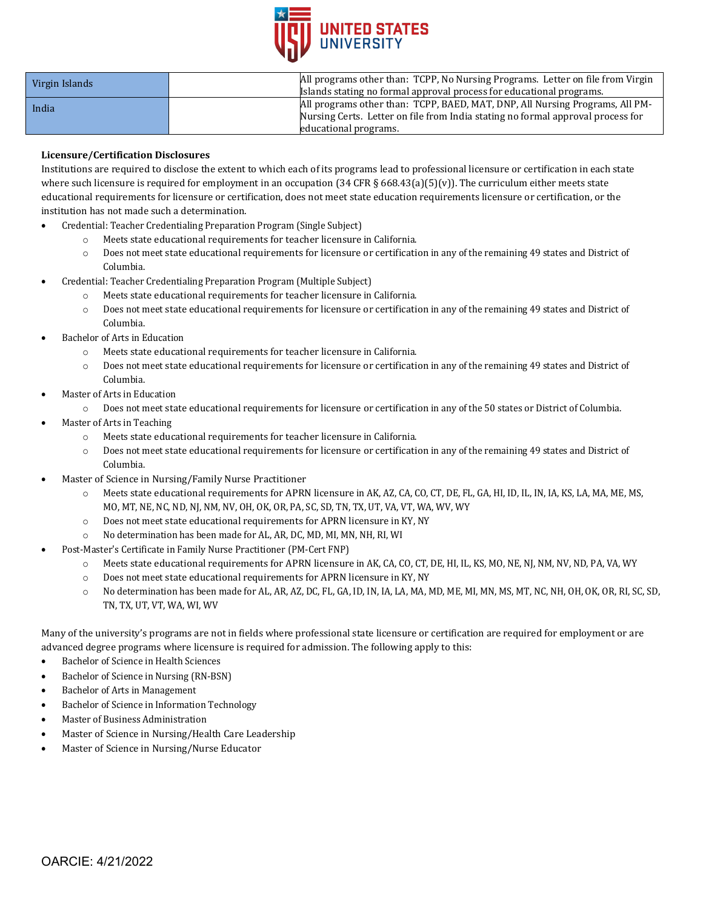

| Virgin Islands | All programs other than: TCPP, No Nursing Programs. Letter on file from Virgin                                                                                  |
|----------------|-----------------------------------------------------------------------------------------------------------------------------------------------------------------|
|                | Islands stating no formal approval process for educational programs.                                                                                            |
| India          | All programs other than: TCPP, BAED, MAT, DNP, All Nursing Programs, All PM-<br>Nursing Certs. Letter on file from India stating no formal approval process for |
|                | educational programs.                                                                                                                                           |

## **Licensure/Certification Disclosures**

Institutions are required to disclose the extent to which each of its programs lead to professional licensure or certification in each state where such licensure is required for employment in an occupation (34 CFR § 668.43(a)(5)(v)). The curriculum either meets state educational requirements for licensure or certification, does not meet state education requirements licensure or certification, or the institution has not made such a determination.

- Credential: Teacher Credentialing Preparation Program (Single Subject)
	- o Meets state educational requirements for teacher licensure in California.
	- o Does not meet state educational requirements for licensure or certification in any of the remaining 49 states and District of Columbia.
- Credential: Teacher Credentialing Preparation Program (Multiple Subject)
	- o Meets state educational requirements for teacher licensure in California.
	- o Does not meet state educational requirements for licensure or certification in any of the remaining 49 states and District of Columbia.
- Bachelor of Arts in Education
	- Meets state educational requirements for teacher licensure in California.
	- o Does not meet state educational requirements for licensure or certification in any of the remaining 49 states and District of Columbia.
- Master of Arts in Education
	- o Does not meet state educational requirements for licensure or certification in any of the 50 states or District of Columbia.
- Master of Arts in Teaching
	- o Meets state educational requirements for teacher licensure in California.
	- o Does not meet state educational requirements for licensure or certification in any of the remaining 49 states and District of Columbia.
- Master of Science in Nursing/Family Nurse Practitioner
	- o Meets state educational requirements for APRN licensure in AK, AZ, CA, CO, CT, DE, FL, GA, HI, ID, IL, IN, IA, KS, LA, MA, ME, MS, MO, MT, NE, NC, ND, NJ, NM, NV, OH, OK, OR, PA, SC, SD, TN, TX, UT, VA, VT, WA, WV, WY
	- o Does not meet state educational requirements for APRN licensure in KY, NY
	- o No determination has been made for AL, AR, DC, MD, MI, MN, NH, RI, WI
- Post-Master's Certificate in Family Nurse Practitioner (PM-Cert FNP)
	- o Meets state educational requirements for APRN licensure in AK, CA, CO, CT, DE, HI, IL, KS, MO, NE, NJ, NM, NV, ND, PA, VA, WY
	- o Does not meet state educational requirements for APRN licensure in KY, NY
	- o No determination has been made for AL, AR, AZ, DC, FL, GA, ID, IN, IA, LA, MA, MD, ME, MI, MN, MS, MT, NC, NH, OH, OK, OR, RI, SC, SD, TN, TX, UT, VT, WA, WI, WV

Many of the university's programs are not in fields where professional state licensure or certification are required for employment or are advanced degree programs where licensure is required for admission. The following apply to this:

- Bachelor of Science in Health Sciences
- Bachelor of Science in Nursing (RN-BSN)
- Bachelor of Arts in Management
- Bachelor of Science in Information Technology
- Master of Business Administration
- Master of Science in Nursing/Health Care Leadership
- Master of Science in Nursing/Nurse Educator